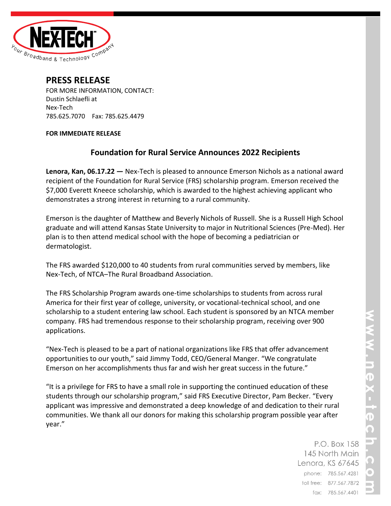

## **PRESS RELEASE**

FOR MORE INFORMATION, CONTACT: Dustin Schlaefli at Nex-Tech 785.625.7070 Fax: 785.625.4479

### **FOR IMMEDIATE RELEASE**

# **Foundation for Rural Service Announces 2022 Recipients**

**Lenora, Kan, 06.17.22 —** Nex-Tech is pleased to announce Emerson Nichols as a national award recipient of the Foundation for Rural Service (FRS) scholarship program. Emerson received the \$7,000 Everett Kneece scholarship, which is awarded to the highest achieving applicant who demonstrates a strong interest in returning to a rural community.

Emerson is the daughter of Matthew and Beverly Nichols of Russell. She is a Russell High School graduate and will attend Kansas State University to major in Nutritional Sciences (Pre-Med). Her plan is to then attend medical school with the hope of becoming a pediatrician or dermatologist.

The FRS awarded \$120,000 to 40 students from rural communities served by members, like Nex-Tech, of NTCA–The Rural Broadband Association.

The FRS Scholarship Program awards one-time scholarships to students from across rural America for their first year of college, university, or vocational-technical school, and one scholarship to a student entering law school. Each student is sponsored by an NTCA member company. FRS had tremendous response to their scholarship program, receiving over 900 applications.

"Nex-Tech is pleased to be a part of national organizations like FRS that offer advancement opportunities to our youth," said Jimmy Todd, CEO/General Manger. "We congratulate Emerson on her accomplishments thus far and wish her great success in the future."

"It is a privilege for FRS to have a small role in supporting the continued education of these students through our scholarship program," said FRS Executive Director, Pam Becker. "Every applicant was impressive and demonstrated a deep knowledge of and dedication to their rural communities. We thank all our donors for making this scholarship program possible year after year."

> P.O. Box 158 145 North Main Lenora, KS 67645 phone: 785.567.4281 toll free: 877.567.7872 fax: 785.567.4401